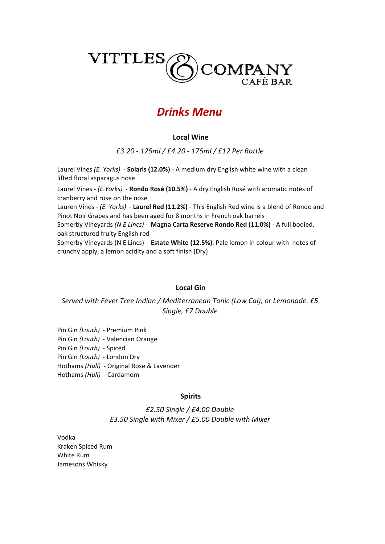

# Drinks Menu

## Local Wine

£3.20 - 125ml / £4.20 - 175ml / £12 Per Bottle

Laurel Vines (E. Yorks) - Solaris (12.0%) - A medium dry English white wine with a clean lifted floral asparagus nose

Laurel Vines - (E.Yorks) - Rondo Rosé (10.5%) - A dry English Rosé with aromatic notes of cranberry and rose on the nose

Lauren Vines - (E. Yorks) - Laurel Red (11.2%) - This English Red wine is a blend of Rondo and Pinot Noir Grapes and has been aged for 8 months in French oak barrels

Somerby Vineyards (N E Lincs) - Magna Carta Reserve Rondo Red (11.0%) - A full bodied, oak structured fruity English red

Somerby Vineyards (N E Lincs) - Estate White (12.5%). Pale lemon in colour with notes of crunchy apply, a lemon acidity and a soft finish (Dry)

#### Local Gin

# Served with Fever Tree Indian / Mediterranean Tonic (Low Cal), or Lemonade. £5 Single, £7 Double

Hothams (Hull) - Original Rose & Lavender Hothams (Hull) - Cardamom Pin Gin (Louth) - Premium Pink Pin Gin (Louth) - Valencian Orange Pin Gin (Louth) - Spiced Pin Gin (Louth) - London Dry

#### Spirits

£3.50 Single with Mixer / £5.00 Double with Mixer £2.50 Single / £4.00 Double

White Rum Jamesons Whisky Vodka Kraken Spiced Rum